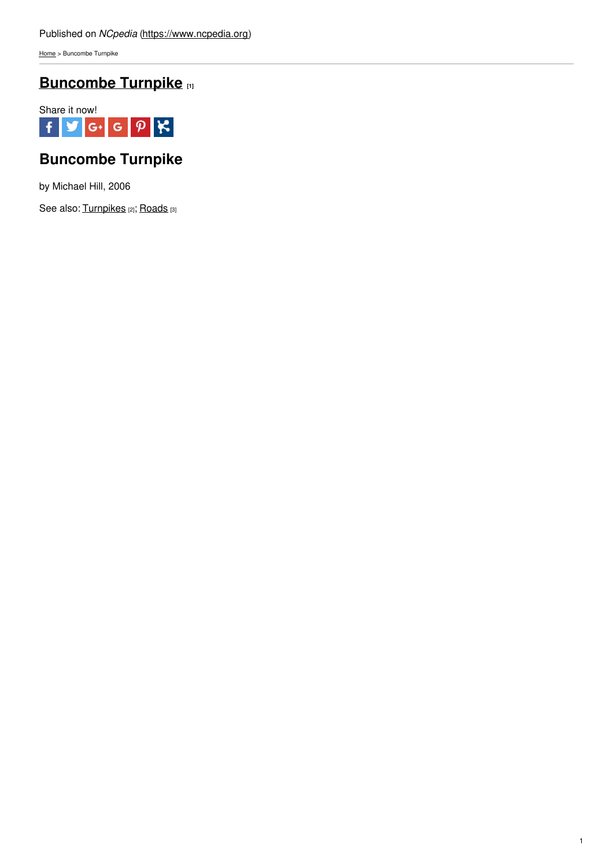[Home](https://www.ncpedia.org/) > Buncombe Turnpike

## **[Buncombe](https://www.ncpedia.org/buncombe-turnpike) Turnpike [1]**



# **Buncombe Turnpike**

by Michael Hill, 2006

See also: [Turnpikes](https://www.ncpedia.org/turnpikes) [2]; [Roads](https://ncpedia.org/roads) [3]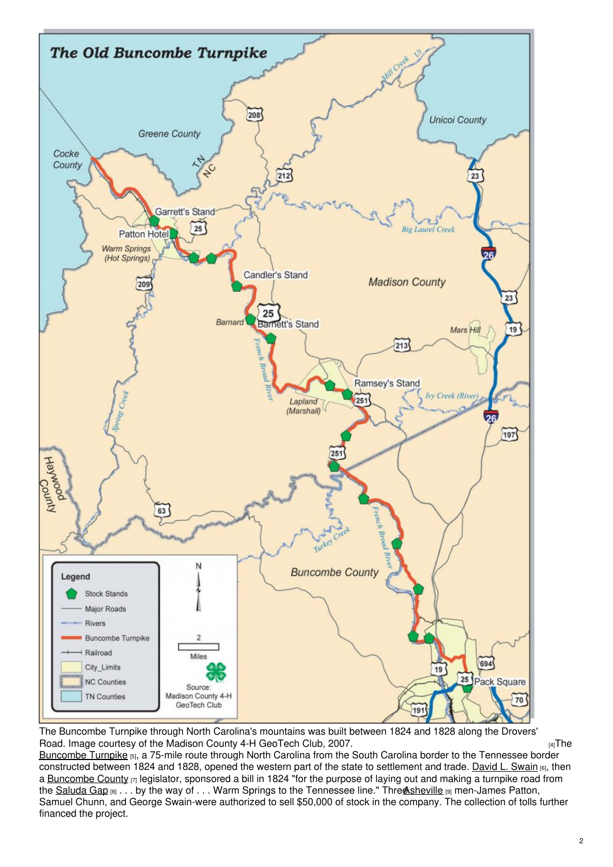

The Buncombe Turnpike through North Carolina's mountains was built between 1824 and 1828 along the Drovers' Road. Image courtesy of the Madison County 4-H [GeoTech](https://www.ncpedia.org/media/map/buncombe-county-turnpike) Club, 2007.  $\frac{4}{10}$ The

[Buncombe](https://www.ncdcr.gov/about/history/division-historical-resources/nc-highway-historical-marker-program/Markers.aspx?ct=ddl&sp=search&k=Markers&sv=P-77 - BUNCOMBE TURNPIKE) Turnpike [5], a 75-mile route through North Carolina from the South Carolina border to the Tennessee border constructed between 1824 and 1828, opened the western part of the state to settlement and trade. [David](https://www.ncpedia.org/biography/swain-david-lowry) L. Swain [6], then a [Buncombe](https://www.ncpedia.org/geography/buncombe) County [7] legislator, sponsored a bill in 1824 "for the purpose of laying out and making a turnpike road from the [Saluda](https://www.ncdcr.gov/about/history/division-historical-resources/nc-highway-historical-marker-program/Markers.aspx?sp=search&k=Markers&sv=O-73) Gap [8] . . . by the way of . . . Warm Springs to the Tennessee line." Three sheville [9] men-James Patton, Samuel Chunn, and George Swain-were authorized to sell \$50,000 of stock in the company. The collection of tolls further financed the project.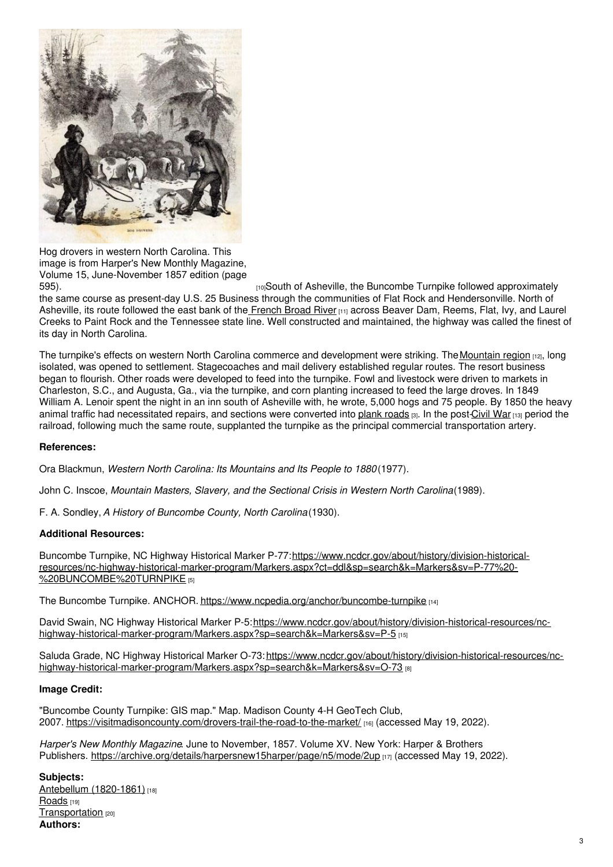

Hog drovers in western North Carolina. This image is from Harper's New Monthly Magazine, Volume 15, June-November 1857 edition (page

[10]South of Asheville, the Buncombe Turnpike followed approximately the same course as present-day U.S. 25 Business through the communities of Flat Rock and Hendersonville. North of Asheville, its route followed the east bank of the [French](https://www.ncpedia.org/rivers/french-broad) Broad River [11] across Beaver Dam, Reems, Flat, Ivy, and Laurel Creeks to Paint Rock and the Tennessee state line. Well constructed and maintained, the highway was called the finest of its day in North Carolina.

The turnpike's effects on western North Carolina commerce and development were striking. The [Mountain](https://www.ncpedia.org/our-state-geography-snap-mountain) region [12], long isolated, was opened to settlement. Stagecoaches and mail delivery established regular routes. The resort business began to flourish. Other roads were developed to feed into the turnpike. Fowl and livestock were driven to markets in Charleston, S.C., and Augusta, Ga., via the turnpike, and corn planting increased to feed the large droves. In 1849 William A. Lenoir spent the night in an inn south of Asheville with, he wrote, 5,000 hogs and 75 people. By 1850 the heavy animal traffic had necessitated repairs, and sections were converted into [plank](https://ncpedia.org/roads) roads [3]. In the post[-Civil](https://www.ncpedia.org/history/cw-1900/civil-war) War [13] period the railroad, following much the same route, supplanted the turnpike as the principal commercial transportation artery.

### **References:**

Ora Blackmun, *Western North Carolina: Its Mountains and Its People to 1880*(1977).

John C. Inscoe, *Mountain Masters, Slavery, and the Sectional Crisis in Western North Carolina*(1989).

F. A. Sondley,*A History of Buncombe County, North Carolina*(1930).

### **Additional Resources:**

Buncombe Turnpike, NC Highway Historical Marker P-77: https://www.ncdcr.gov/about/history/division-historical[resources/nc-highway-historical-marker-program/Markers.aspx?ct=ddl&sp=search&k=Markers&sv=P-77%20-](https://www.ncdcr.gov/about/history/division-historical-resources/nc-highway-historical-marker-program/Markers.aspx?ct=ddl&sp=search&k=Markers&sv=P-77 - BUNCOMBE TURNPIKE) %20BUNCOMBE%20TURNPIKE [5]

The Buncombe Turnpike. ANCHOR. <https://www.ncpedia.org/anchor/buncombe-turnpike> [14]

David Swain, NC Highway Historical Marker P-5:https://www.ncdcr.gov/about/history/division-historical-resources/nc[highway-historical-marker-program/Markers.aspx?sp=search&k=Markers&sv=P-5](https://www.ncdcr.gov/about/history/division-historical-resources/nc-highway-historical-marker-program/Markers.aspx?sp=search&k=Markers&sv=P-5) [15]

Saluda Grade, NC Highway Historical Marker O-73: https://www.ncdcr.gov/about/history/division-historical-resources/nc[highway-historical-marker-program/Markers.aspx?sp=search&k=Markers&sv=O-73](https://www.ncdcr.gov/about/history/division-historical-resources/nc-highway-historical-marker-program/Markers.aspx?sp=search&k=Markers&sv=O-73) [8]

### **Image Credit:**

"Buncombe County Turnpike: GIS map." Map. Madison County 4-H GeoTech Club, 2007. <https://visitmadisoncounty.com/drovers-trail-the-road-to-the-market/> [16] (accessed May 19, 2022).

*Harper's New Monthly Magazine*. June to November, 1857. Volume XV. New York: Harper & Brothers Publishers. <https://archive.org/details/harpersnew15harper/page/n5/mode/2up> [17] (accessed May 19, 2022).

**Subjects:** Antebellum [\(1820-1861\)](https://www.ncpedia.org/category/subjects/antebellum-1820-1) [18] [Roads](https://www.ncpedia.org/category/subjects/roads) [19] [Transportation](https://www.ncpedia.org/category/subjects/transportation) [20] **Authors:**